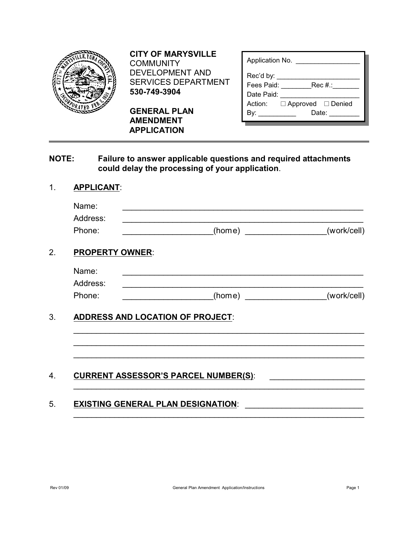| E. YUBA  |  |
|----------|--|
| 70<br>ТE |  |

**CITY OF MARYSVILLE** COMMUNITY DEVELOPMENT AND SERVICES DEPARTMENT **530-749-3904**

**GENERAL PLAN AMENDMENT APPLICATION**

| Application No.                       |  |  |  |
|---------------------------------------|--|--|--|
| Rec'd by:                             |  |  |  |
| Rec #.:<br>Fees Paid:                 |  |  |  |
| Date Paid:                            |  |  |  |
| Action: $\Box$ Approved $\Box$ Denied |  |  |  |
| Date:<br>Bv:                          |  |  |  |

### **NOTE: Failure to answer applicable questions and required attachments could delay the processing of your application**.

## 1. **APPLICANT**:

| Phone:                                  |        | (work/cell) |
|-----------------------------------------|--------|-------------|
| <b>PROPERTY OWNER:</b>                  |        |             |
| Name:                                   |        |             |
| Address:                                |        |             |
| Phone:                                  | (home) | (work/cell) |
|                                         |        |             |
| <b>ADDRESS AND LOCATION OF PROJECT:</b> |        |             |
|                                         |        |             |

# 5. **EXISTING GENERAL PLAN DESIGNATION:**

\_\_\_\_\_\_\_\_\_\_\_\_\_\_\_\_\_\_\_\_\_\_\_\_\_\_\_\_\_\_\_\_\_\_\_\_\_\_\_\_\_\_\_\_\_\_\_\_\_\_\_\_\_\_\_\_\_\_\_\_\_\_\_\_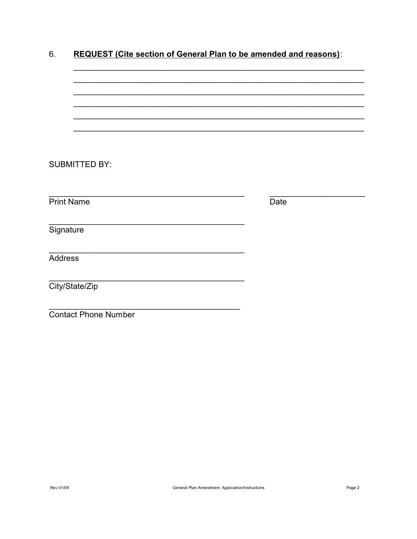|  | <b>REQUEST (Cite section of General Plan to be amended and reasons):</b> |
|--|--------------------------------------------------------------------------|
|  |                                                                          |

| <b>SUBMITTED BY:</b>        |      |
|-----------------------------|------|
|                             |      |
|                             |      |
| <b>Print Name</b>           | Date |
|                             |      |
| Signature                   |      |
|                             |      |
| <b>Address</b>              |      |
|                             |      |
| City/State/Zip              |      |
|                             |      |
| <b>Contact Phone Number</b> |      |
|                             |      |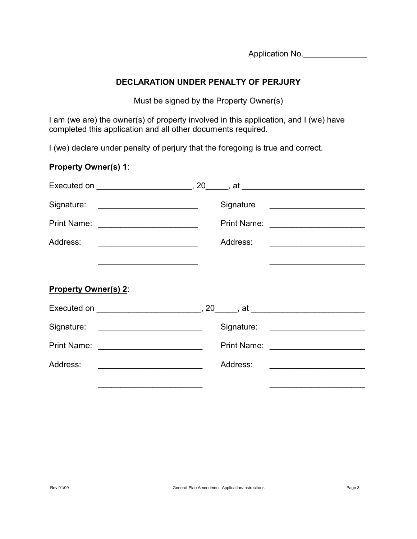Application No.

## **DECLARATION UNDER PENALTY OF PERJURY**

Must be signed by the Property Owner(s)

I am (we are) the owner(s) of property involved in this application, and I (we) have completed this application and all other documents required.

I (we) declare under penalty of perjury that the foregoing is true and correct.

# **Property Owner(s) 1**:

| <b>Print Name:</b>                                                                                                                    | Print Name:                                                                                                                                                                                                                                      |  |  |  |
|---------------------------------------------------------------------------------------------------------------------------------------|--------------------------------------------------------------------------------------------------------------------------------------------------------------------------------------------------------------------------------------------------|--|--|--|
| Address:<br><u> 2000 - Jan James James Jan James James James James James James James James James James James James James James Ja</u> | Address:<br><u> 1980 - Antonio Alemania de Antonio de Antonio de Antonio de Antonio de Antonio de Antonio de Antonio de Antonio de Antonio de Antonio de Antonio de Antonio de Antonio de Antonio de Antonio de Antonio de Antonio de Antoni</u> |  |  |  |
|                                                                                                                                       |                                                                                                                                                                                                                                                  |  |  |  |
| <b>Property Owner(s) 2:</b>                                                                                                           |                                                                                                                                                                                                                                                  |  |  |  |
|                                                                                                                                       |                                                                                                                                                                                                                                                  |  |  |  |
|                                                                                                                                       |                                                                                                                                                                                                                                                  |  |  |  |
| <b>Print Name:</b>                                                                                                                    | Print Name: <u>_____________________</u>                                                                                                                                                                                                         |  |  |  |
| Address:<br><u> 1989 - Johann Barbara, martin da basar</u>                                                                            | Address:                                                                                                                                                                                                                                         |  |  |  |
|                                                                                                                                       |                                                                                                                                                                                                                                                  |  |  |  |